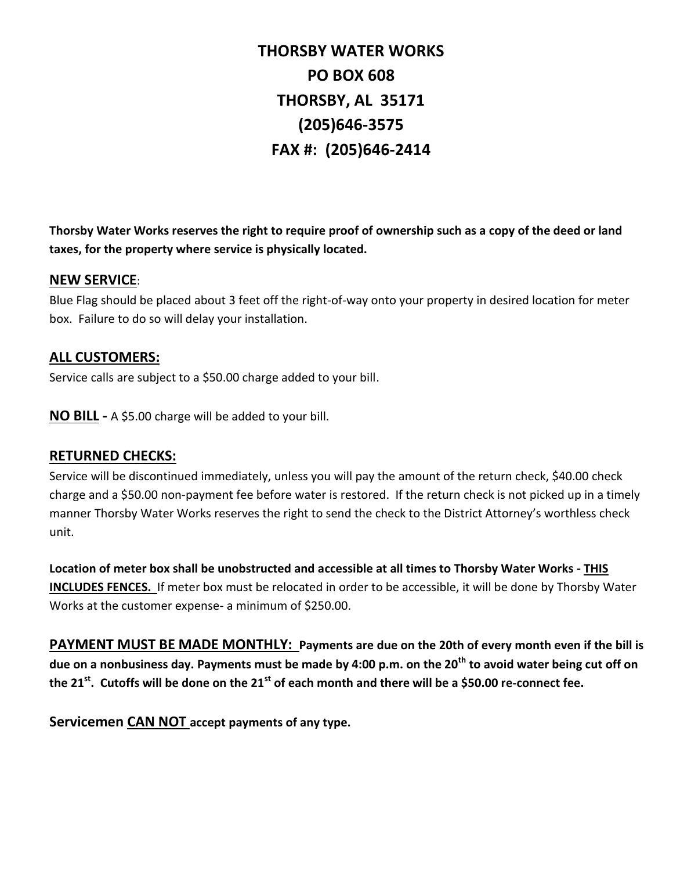**THORSBY WATER WORKS PO BOX 608 THORSBY, AL 35171 (205)646-3575 FAX #: (205)646-2414**

**Thorsby Water Works reserves the right to require proof of ownership such as a copy of the deed or land taxes, for the property where service is physically located.**

## **NEW SERVICE**:

Blue Flag should be placed about 3 feet off the right-of-way onto your property in desired location for meter box. Failure to do so will delay your installation.

## **ALL CUSTOMERS:**

Service calls are subject to a \$50.00 charge added to your bill.

**NO BILL -** A \$5.00 charge will be added to your bill.

## **RETURNED CHECKS:**

Service will be discontinued immediately, unless you will pay the amount of the return check, \$40.00 check charge and a \$50.00 non-payment fee before water is restored. If the return check is not picked up in a timely manner Thorsby Water Works reserves the right to send the check to the District Attorney's worthless check unit.

**Location of meter box shall be unobstructed and accessible at all times to Thorsby Water Works - THIS INCLUDES FENCES.** If meter box must be relocated in order to be accessible, it will be done by Thorsby Water Works at the customer expense- a minimum of \$250.00.

**PAYMENT MUST BE MADE MONTHLY: Payments are due on the 20th of every month even if the bill is due on a nonbusiness day. Payments must be made by 4:00 p.m. on the 20th to avoid water being cut off on the 21st . Cutoffs will be done on the 21st of each month and there will be a \$50.00 re-connect fee.**

**Servicemen CAN NOT accept payments of any type.**